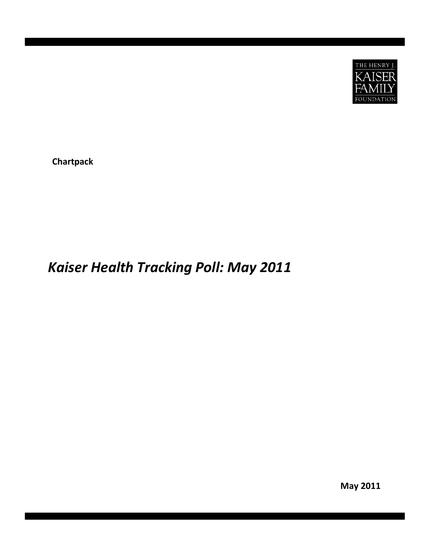

**Chartpack** 

## *Kaise r Heal th Tracking Poll: May 2011*

**May 2011**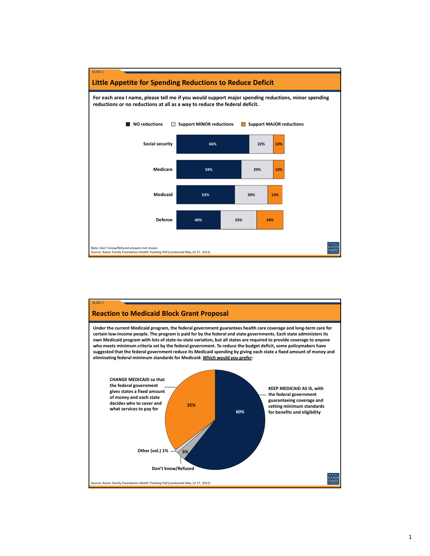

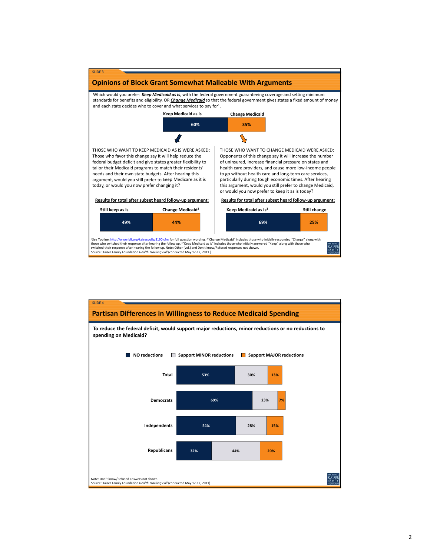

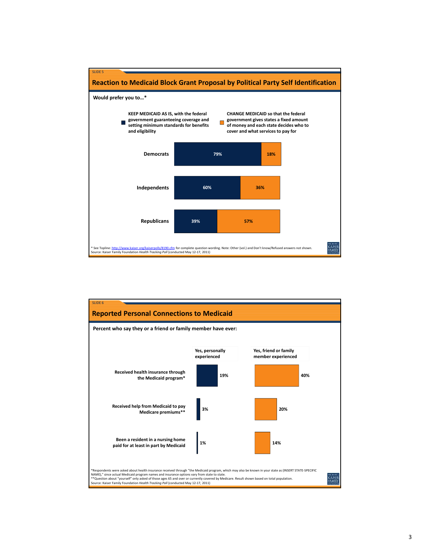

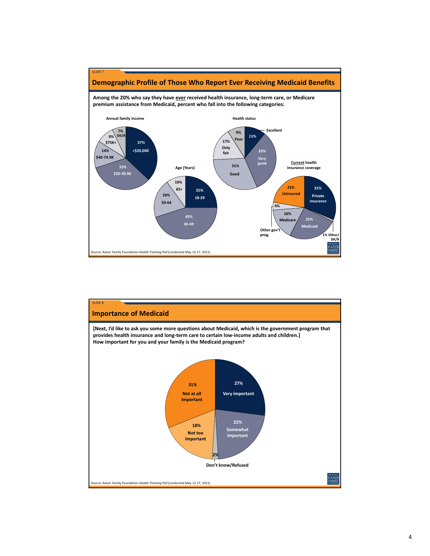

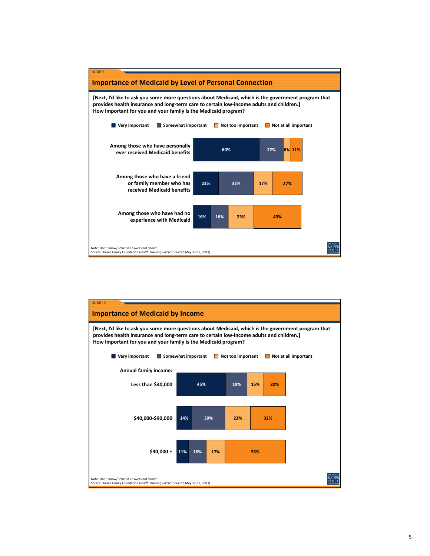

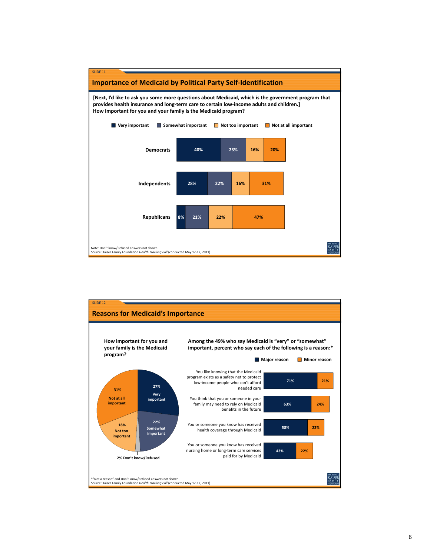

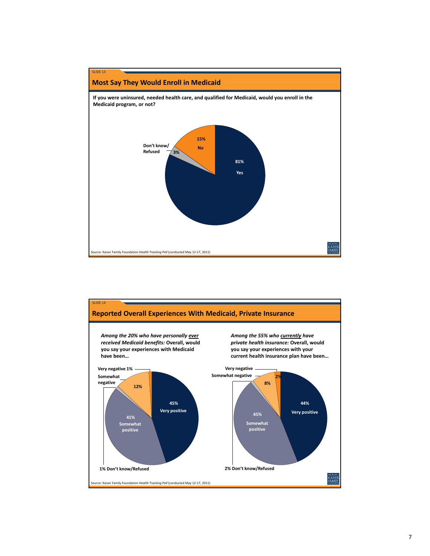

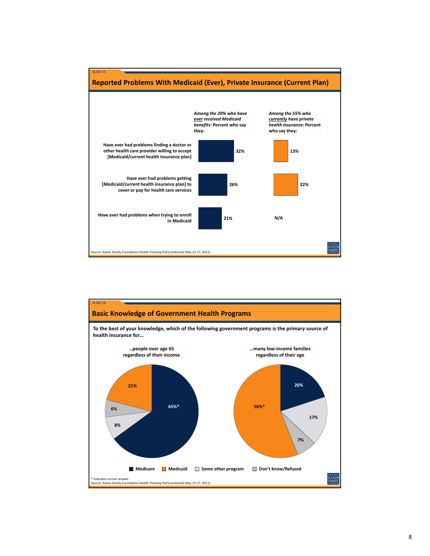

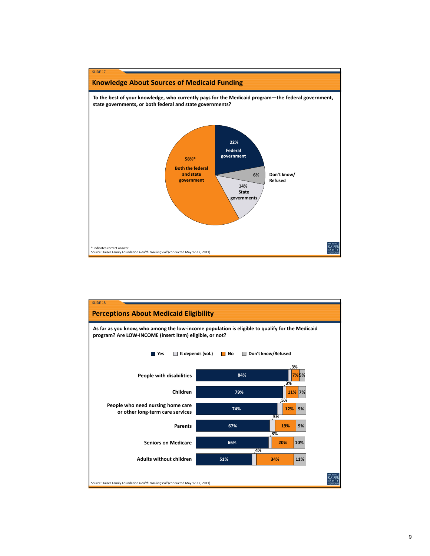

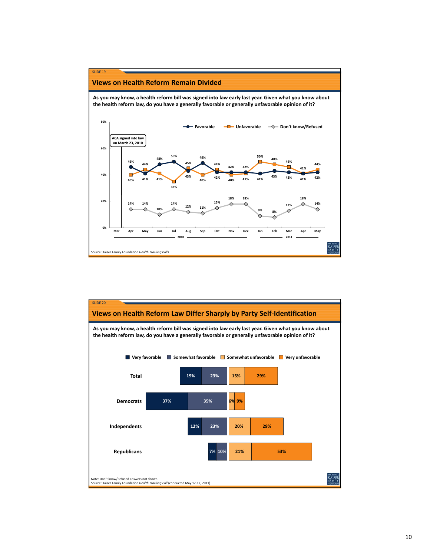

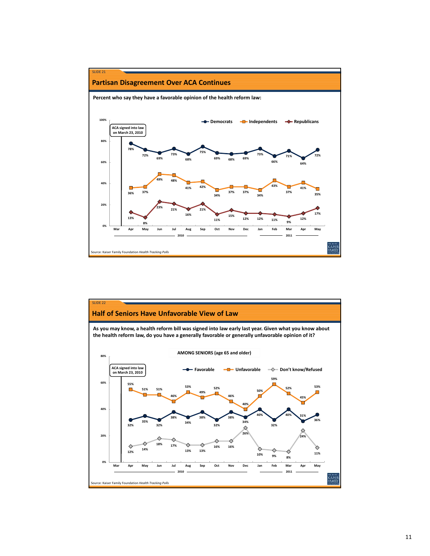

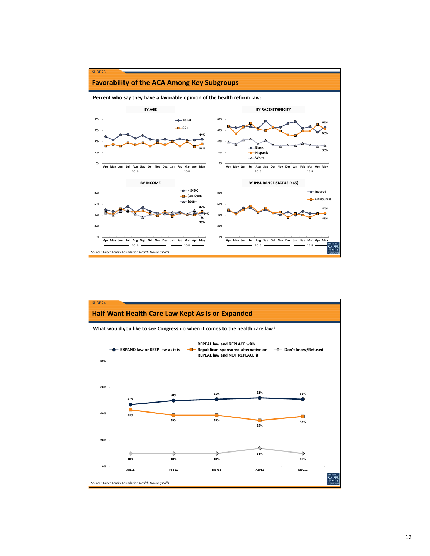

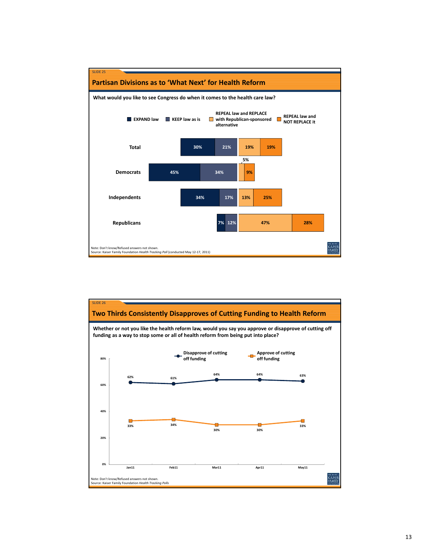

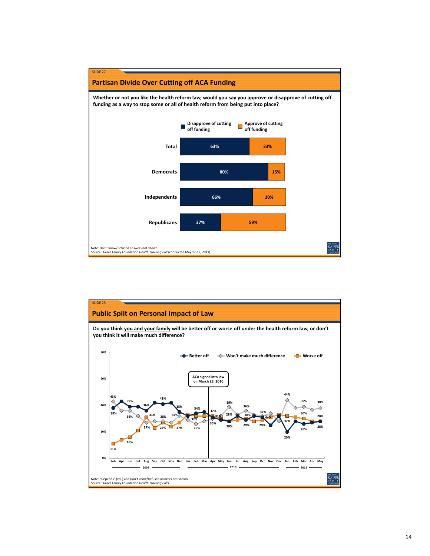

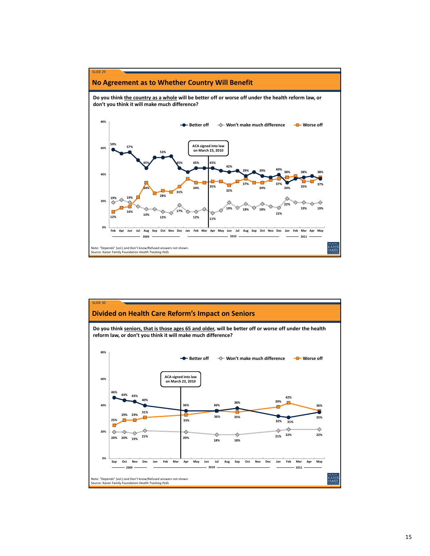

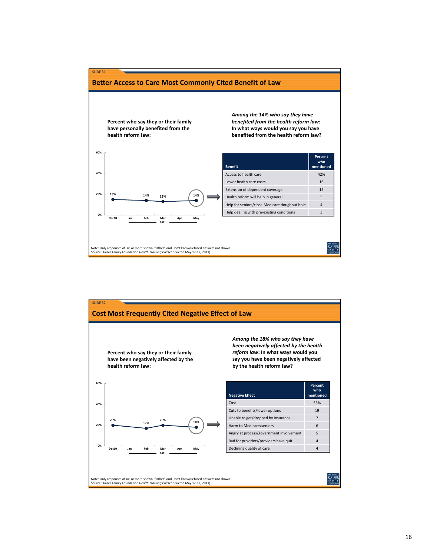

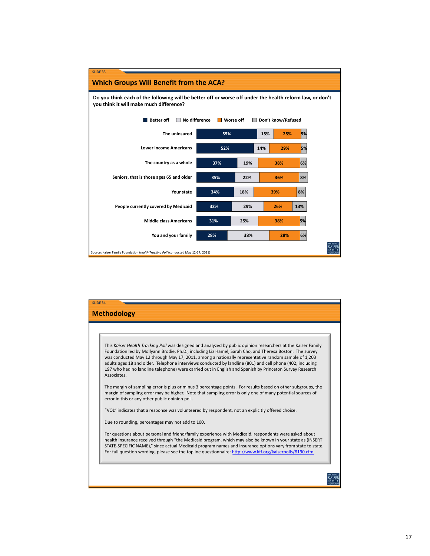